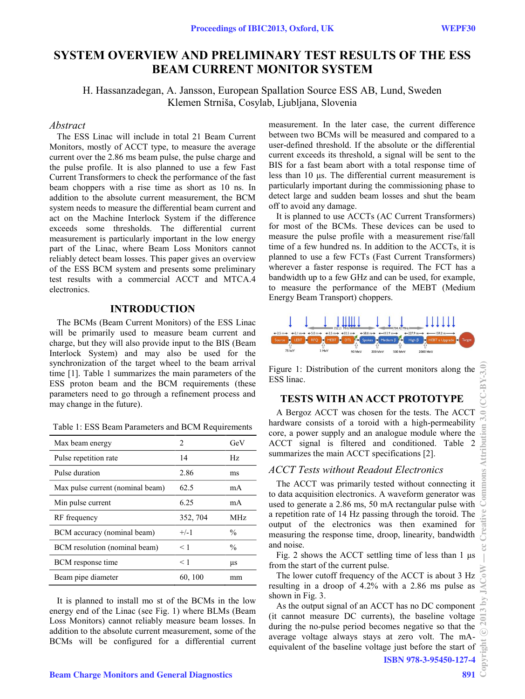# SYSTEM OVERVIEW AND PRELIMINARY TEST RESULTS OF THE ESS **BEAM CURRENT MONITOR SYSTEM**

H. Hassanzadegan, A. Jansson, European Spallation Source ESS AB, Lund, Sweden Klemen Strniša, Cosylab, Ljubljana, Slovenia

### Abstract

The ESS Linac will include in total 21 Beam Current Monitors, mostly of ACCT type, to measure the average current over the 2.86 ms beam pulse, the pulse charge and the pulse profile. It is also planned to use a few Fast Current Transformers to check the performance of the fast beam choppers with a rise time as short as 10 ns. In addition to the absolute current measurement, the BCM system needs to measure the differential beam current and act on the Machine Interlock System if the difference exceeds some thresholds. The differential current measurement is particularly important in the low energy part of the Linac, where Beam Loss Monitors cannot reliably detect beam losses. This paper gives an overview of the ESS BCM system and presents some preliminary test results with a commercial ACCT and MTCA.4 electronics.

### **INTRODUCTION**

The BCMs (Beam Current Monitors) of the ESS Linac will be primarily used to measure beam current and charge, but they will also provide input to the BIS (Beam Interlock System) and may also be used for the synchronization of the target wheel to the beam arrival time [1]. Table 1 summarizes the main parameters of the ESS proton beam and the BCM requirements (these parameters need to go through a refinement process and may change in the future).

Table 1: ESS Beam Parameters and BCM Requirements

| Max beam energy                  | 2        | GeV           |
|----------------------------------|----------|---------------|
| Pulse repetition rate            | 14       | Hz            |
| Pulse duration                   | 2.86     | ms            |
| Max pulse current (nominal beam) | 62.5     | mA            |
| Min pulse current                | 6.25     | mA            |
| RF frequency                     | 352, 704 | MHz           |
| BCM accuracy (nominal beam)      | $+/-1$   | $\frac{0}{0}$ |
| BCM resolution (nominal beam)    | < 1      | $\frac{0}{0}$ |
| BCM response time                | < 1      | μs            |
| Beam pipe diameter               | 60, 100  | mm            |

It is planned to install mo st of the BCMs in the low energy end of the Linac (see Fig. 1) where BLMs (Beam Loss Monitors) cannot reliably measure beam losses. In addition to the absolute current measurement, some of the BCMs will be configured for a differential current measurement. In the later case, the current difference between two BCMs will be measured and compared to a user-defined threshold. If the absolute or the differential current exceeds its threshold, a signal will be sent to the BIS for a fast beam abort with a total response time of less than 10 us. The differential current measurement is particularly important during the commissioning phase to detect large and sudden beam losses and shut the beam off to avoid any damage.

It is planned to use ACCTs (AC Current Transformers) for most of the BCMs. These devices can be used to measure the pulse profile with a measurement rise/fall time of a few hundred ns. In addition to the ACCTs, it is planned to use a few FCTs (Fast Current Transformers) wherever a faster response is required. The FCT has a bandwidth up to a few GHz and can be used, for example, to measure the performance of the MEBT (Medium Energy Beam Transport) choppers.



Figure 1: Distribution of the current monitors along the ESS linac.

# **TESTS WITH AN ACCT PROTOTYPE**

A Bergoz ACCT was chosen for the tests. The ACCT hardware consists of a toroid with a high-permeability core, a power supply and an analogue module where the ACCT signal is filtered and conditioned. Table 2 summarizes the main ACCT specifications [2].

### **ACCT** Tests without Readout Electronics

The ACCT was primarily tested without connecting it to data acquisition electronics. A waveform generator was used to generate a 2.86 ms, 50 mA rectangular pulse with a repetition rate of 14 Hz passing through the toroid. The output of the electronics was then examined for measuring the response time, droop, linearity, bandwidth and noise.

Fig. 2 shows the ACCT settling time of less than 1 µs from the start of the current pulse.

The lower cutoff frequency of the ACCT is about 3 Hz resulting in a droop of 4.2% with a 2.86 ms pulse as shown in Fig. 3.

As the output signal of an ACCT has no DC component (it cannot measure DC currents), the baseline voltage during the no-pulse period becomes negative so that the average voltage always stays at zero volt. The mAequivalent of the baseline voltage just before the start of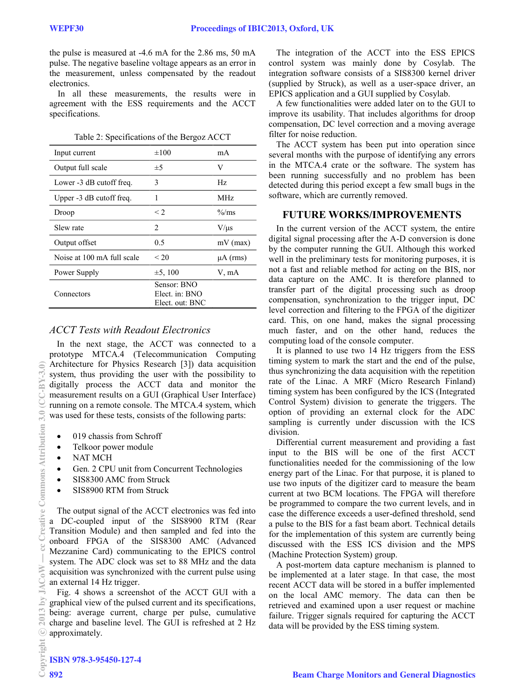the pulse is measured at -4.6 mA for the 2.86 ms, 50 mA pulse. The negative baseline voltage appears as an error in the measurement, unless compensated by the readout electronics.

In all these measurements, the results were in agreement with the ESS requirements and the ACCT specifications.

|  |  | Table 2: Specifications of the Bergoz ACCT |  |  |  |
|--|--|--------------------------------------------|--|--|--|
|--|--|--------------------------------------------|--|--|--|

| Input current              | $\pm 100$                                        | mA                     |
|----------------------------|--------------------------------------------------|------------------------|
| Output full scale          | $\pm$ 5                                          | V                      |
| Lower -3 dB cutoff freq.   | 3                                                | Hz.                    |
| Upper -3 dB cutoff freq.   | 1                                                | MHz.                   |
| Droop                      | $\leq$ 2                                         | $\frac{\%}{\text{ms}}$ |
| Slew rate                  | $\mathfrak{D}$                                   | $V/\mu s$              |
| Output offset              | 0.5                                              | $mV$ (max)             |
| Noise at 100 mA full scale | < 20                                             | $\mu A$ (rms)          |
| Power Supply               | $\pm 5, 100$                                     | V, mA                  |
| Connectors                 | Sensor: BNO<br>Elect. in: BNO<br>Elect. out: BNC |                        |

# **ACCT** Tests with Readout Electronics

In the next stage, the ACCT was connected to a prototype MTCA.4 (Telecommunication Computing Architecture for Physics Research [3]) data acquisition system, thus providing the user with the possibility to digitally process the ACCT data and monitor the measurement results on a GUI (Graphical User Interface) running on a remote console. The MTCA.4 system, which was used for these tests, consists of the following parts:

- 019 chassis from Schroff
- Telkoor power module
- **NAT MCH**  $\bullet$
- Gen. 2 CPU unit from Concurrent Technologies  $\bullet$
- SIS8300 AMC from Struck
- SIS8900 RTM from Struck  $\bullet$

The output signal of the ACCT electronics was fed into a DC-coupled input of the SIS8900 RTM (Rear Transition Module) and then sampled and fed into the onboard FPGA of the SIS8300 AMC (Advanced Mezzanine Card) communicating to the EPICS control system. The ADC clock was set to 88 MHz and the data acquisition was synchronized with the current pulse using an external 14 Hz trigger.

Fig. 4 shows a screenshot of the ACCT GUI with a graphical view of the pulsed current and its specifications, being: average current, charge per pulse, cumulative charge and baseline level. The GUI is refreshed at 2 Hz approximately.

The integration of the ACCT into the ESS EPICS control system was mainly done by Cosylab. The integration software consists of a SIS8300 kernel driver (supplied by Struck), as well as a user-space driver, an EPICS application and a GUI supplied by Cosylab.

A few functionalities were added later on to the GUI to improve its usability. That includes algorithms for droop compensation, DC level correction and a moving average filter for noise reduction.

The ACCT system has been put into operation since several months with the purpose of identifying any errors in the MTCA.4 crate or the software. The system has been running successfully and no problem has been detected during this period except a few small bugs in the software, which are currently removed.

# **FUTURE WORKS/IMPROVEMENTS**

In the current version of the ACCT system, the entire digital signal processing after the A-D conversion is done by the computer running the GUI. Although this worked well in the preliminary tests for monitoring purposes, it is not a fast and reliable method for acting on the BIS, nor data capture on the AMC. It is therefore planned to transfer part of the digital processing such as droop compensation, synchronization to the trigger input, DC level correction and filtering to the FPGA of the digitizer card. This, on one hand, makes the signal processing much faster, and on the other hand, reduces the computing load of the console computer.

It is planned to use two 14 Hz triggers from the ESS timing system to mark the start and the end of the pulse, thus synchronizing the data acquisition with the repetition rate of the Linac. A MRF (Micro Research Finland) timing system has been configured by the ICS (Integrated Control System) division to generate the triggers. The option of providing an external clock for the ADC sampling is currently under discussion with the ICS division.

Differential current measurement and providing a fast input to the BIS will be one of the first ACCT functionalities needed for the commissioning of the low energy part of the Linac. For that purpose, it is planed to use two inputs of the digitizer card to measure the beam current at two BCM locations. The FPGA will therefore be programmed to compare the two current levels, and in case the difference exceeds a user-defined threshold, send a pulse to the BIS for a fast beam abort. Technical details for the implementation of this system are currently being discussed with the ESS ICS division and the MPS (Machine Protection System) group.

A post-mortem data capture mechanism is planned to be implemented at a later stage. In that case, the most recent ACCT data will be stored in a buffer implemented on the local AMC memory. The data can then be retrieved and examined upon a user request or machine failure. Trigger signals required for capturing the ACCT data will be provided by the ESS timing system.